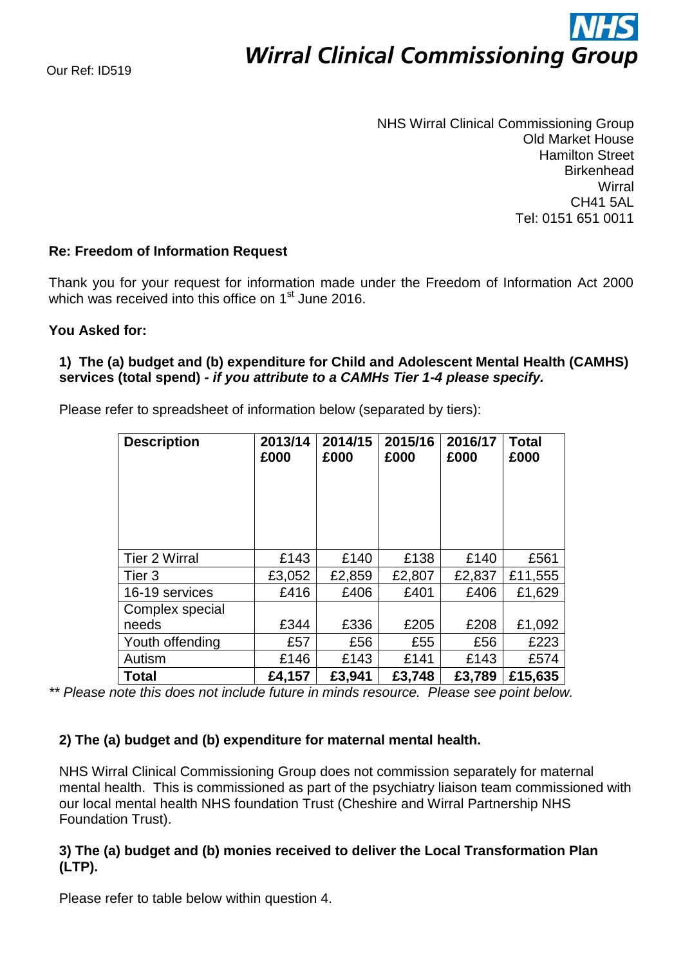# **Wirral Clinical Commissioning Group**

NHS Wirral Clinical Commissioning Group Old Market House Hamilton Street **Birkenhead Wirral** CH41 5AL Tel: 0151 651 0011

## **Re: Freedom of Information Request**

Thank you for your request for information made under the Freedom of Information Act 2000 which was received into this office on 1<sup>st</sup> June 2016.

### **You Asked for:**

# **1) The (a) budget and (b) expenditure for Child and Adolescent Mental Health (CAMHS) services (total spend) -** *if you attribute to a CAMHs Tier 1-4 please specify.*

Please refer to spreadsheet of information below (separated by tiers):

| <b>Description</b>   | 2013/14<br>£000 | 2014/15<br>£000 |                  | 2016/17<br>£000 | <b>Total</b><br>£000 |  |
|----------------------|-----------------|-----------------|------------------|-----------------|----------------------|--|
|                      |                 |                 |                  |                 |                      |  |
| <b>Tier 2 Wirral</b> | £143            | £140            | £138             | £140            | £561                 |  |
| Tier 3               | £3,052          | £2,859          | £2,807<br>£2,837 |                 | £11,555              |  |
| 16-19 services       | £416            | £406            | £401             | £406            | £1,629               |  |
| Complex special      |                 |                 |                  |                 |                      |  |
| needs                | £344            | £336            | £205             | £208            | £1,092               |  |
| Youth offending      | £57             | £56             | £55<br>£56       |                 | £223                 |  |
| Autism               | £146            | £143            | £141<br>£143     |                 | £574                 |  |
| <b>Total</b>         | £4,157          | £3,941          | £3,748           | £3,789          | £15,635              |  |

*\*\* Please note this does not include future in minds resource. Please see point below.*

### **2) The (a) budget and (b) expenditure for maternal mental health.**

NHS Wirral Clinical Commissioning Group does not commission separately for maternal mental health. This is commissioned as part of the psychiatry liaison team commissioned with our local mental health NHS foundation Trust (Cheshire and Wirral Partnership NHS Foundation Trust).

## **3) The (a) budget and (b) monies received to deliver the Local Transformation Plan (LTP).**

Please refer to table below within question 4.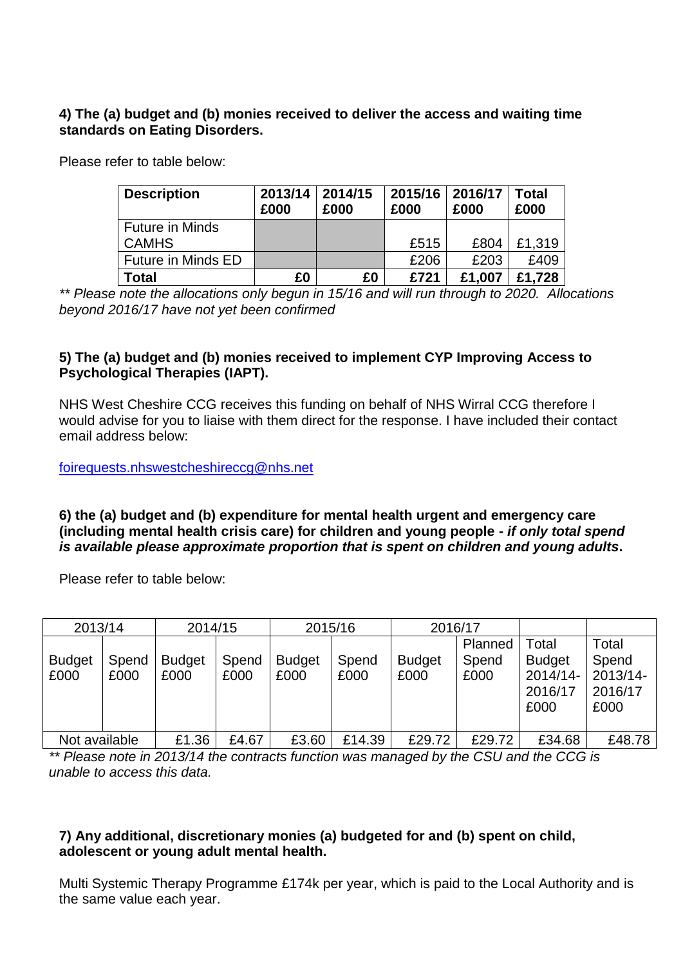# **4) The (a) budget and (b) monies received to deliver the access and waiting time standards on Eating Disorders.**

Please refer to table below:

| <b>Description</b>     | 2013/14<br>£000 | 2014/15<br>£000 | 2015/16<br>£000 | 2016/17<br>£000 | Total<br>£000 |
|------------------------|-----------------|-----------------|-----------------|-----------------|---------------|
| <b>Future in Minds</b> |                 |                 |                 |                 |               |
| <b>CAMHS</b>           |                 |                 | £515            | £804            | £1,319        |
| Future in Minds ED     |                 |                 | £206            | £203            | £409          |
| Total                  | £0              | £0              | £721            | £1.007          | £1.728        |

*\*\* Please note the allocations only begun in 15/16 and will run through to 2020. Allocations beyond 2016/17 have not yet been confirmed*

## **5) The (a) budget and (b) monies received to implement CYP Improving Access to Psychological Therapies (IAPT).**

NHS West Cheshire CCG receives this funding on behalf of NHS Wirral CCG therefore I would advise for you to liaise with them direct for the response. I have included their contact email address below:

[foirequests.nhswestcheshireccg@nhs.net](mailto:foirequests.nhswestcheshireccg@nhs.net)

#### **6) the (a) budget and (b) expenditure for mental health urgent and emergency care (including mental health crisis care) for children and young people -** *if only total spend is available please approximate proportion that is spent on children and young adults***.**

Please refer to table below:

| 2013/14               |               | 2014/15               |               | 2015/16               |               | 2016/17               |                          |                                                       |                                               |
|-----------------------|---------------|-----------------------|---------------|-----------------------|---------------|-----------------------|--------------------------|-------------------------------------------------------|-----------------------------------------------|
| <b>Budget</b><br>£000 | Spend<br>£000 | <b>Budget</b><br>£000 | Spend<br>£000 | <b>Budget</b><br>£000 | Spend<br>£000 | <b>Budget</b><br>£000 | Planned<br>Spend<br>£000 | Total<br><b>Budget</b><br>2014/14-<br>2016/17<br>£000 | Total<br>Spend<br>2013/14-<br>2016/17<br>£000 |
| Not available         |               | £1.36                 | £4.67         | £3.60                 | £14.39        | £29.72                | £29.72                   | £34.68                                                | £48.78                                        |

*\*\* Please note in 2013/14 the contracts function was managed by the CSU and the CCG is unable to access this data.*

# **7) Any additional, discretionary monies (a) budgeted for and (b) spent on child, adolescent or young adult mental health.**

Multi Systemic Therapy Programme £174k per year, which is paid to the Local Authority and is the same value each year.